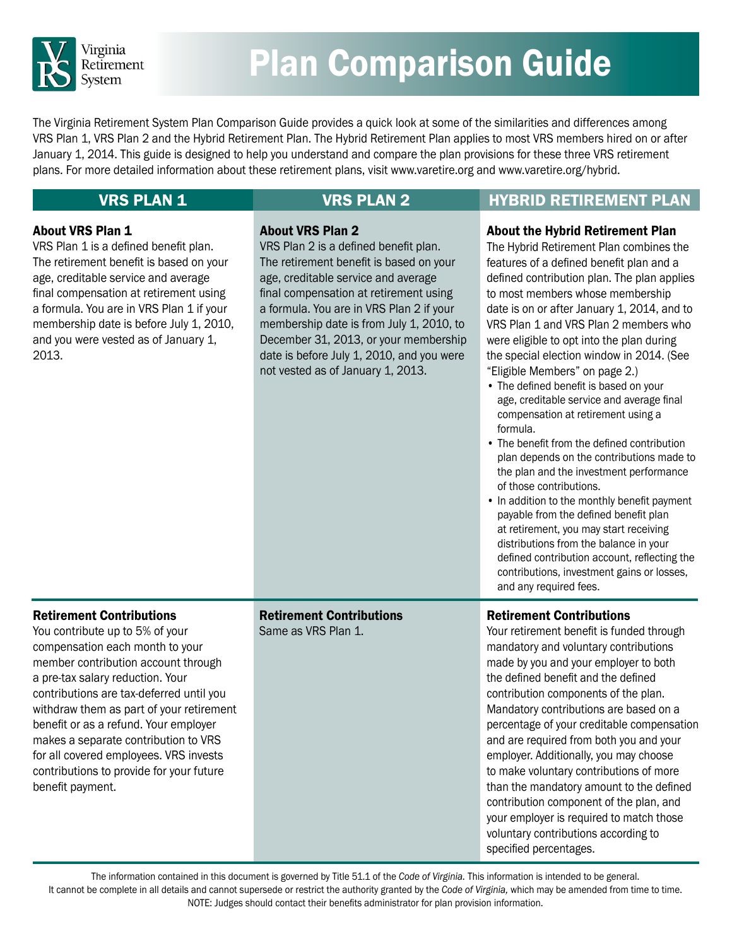

# Plan Comparison Guide

The Virginia Retirement System Plan Comparison Guide provides a quick look at some of the similarities and differences among VRS Plan 1, VRS Plan 2 and the Hybrid Retirement Plan. The Hybrid Retirement Plan applies to most VRS members hired on or after January 1, 2014. This guide is designed to help you understand and compare the plan provisions for these three VRS retirement plans. For more detailed information about these retirement plans, visit [www.varetire.org](http://www.varetire.org) and [www.varetire.org/hybrid](http://www.varetire.org/hybrid).

### VRS PLAN 1 VRS PLAN 2 HYBRID RETIREMENT PLAN

### About VRS Plan 1

VRS Plan 1 is a defined benefit plan. The retirement benefit is based on your age, creditable service and average final compensation at retirement using a formula. You are in VRS Plan 1 if your membership date is before July 1, 2010, and you were vested as of January 1, 2013.

#### About VRS Plan 2

VRS Plan 2 is a defined benefit plan. The retirement benefit is based on your age, creditable service and average final compensation at retirement using a formula. You are in VRS Plan 2 if your membership date is from July 1, 2010, to December 31, 2013, or your membership date is before July 1, 2010, and you were not vested as of January 1, 2013.

#### About the Hybrid Retirement Plan

The Hybrid Retirement Plan combines the features of a defined benefit plan and a defined contribution plan. The plan applies to most members whose membership date is on or after January 1, 2014, and to VRS Plan 1 and VRS Plan 2 members who were eligible to opt into the plan during the special election window in 2014. (See "Eligible Members" on page 2.)

- The defined benefit is based on your age, creditable service and average final compensation at retirement using a formula.
- The benefit from the defined contribution plan depends on the contributions made to the plan and the investment performance of those contributions.
- In addition to the monthly benefit payment payable from the defined benefit plan at retirement, you may start receiving distributions from the balance in your defined contribution account, reflecting the contributions, investment gains or losses, and any required fees.

### Retirement Contributions

You contribute up to 5% of your compensation each month to your member contribution account through a pre-tax salary reduction. Your contributions are tax-deferred until you withdraw them as part of your retirement benefit or as a refund. Your employer makes a separate contribution to VRS for all covered employees. VRS invests contributions to provide for your future benefit payment.

Retirement Contributions Same as VRS Plan 1.

#### Retirement Contributions

Your retirement benefit is funded through mandatory and voluntary contributions made by you and your employer to both the defined benefit and the defined contribution components of the plan. Mandatory contributions are based on a percentage of your creditable compensation and are required from both you and your employer. Additionally, you may choose to make voluntary contributions of more than the mandatory amount to the defined contribution component of the plan, and your employer is required to match those voluntary contributions according to specified percentages.

The information contained in this document is governed by Title 51.1 of the *Code of Virginia.* This information is intended to be general. It cannot be complete in all details and cannot supersede or restrict the authority granted by the *Code of Virginia,* which may be amended from time to time. NOTE: Judges should contact their benefits administrator for plan provision information.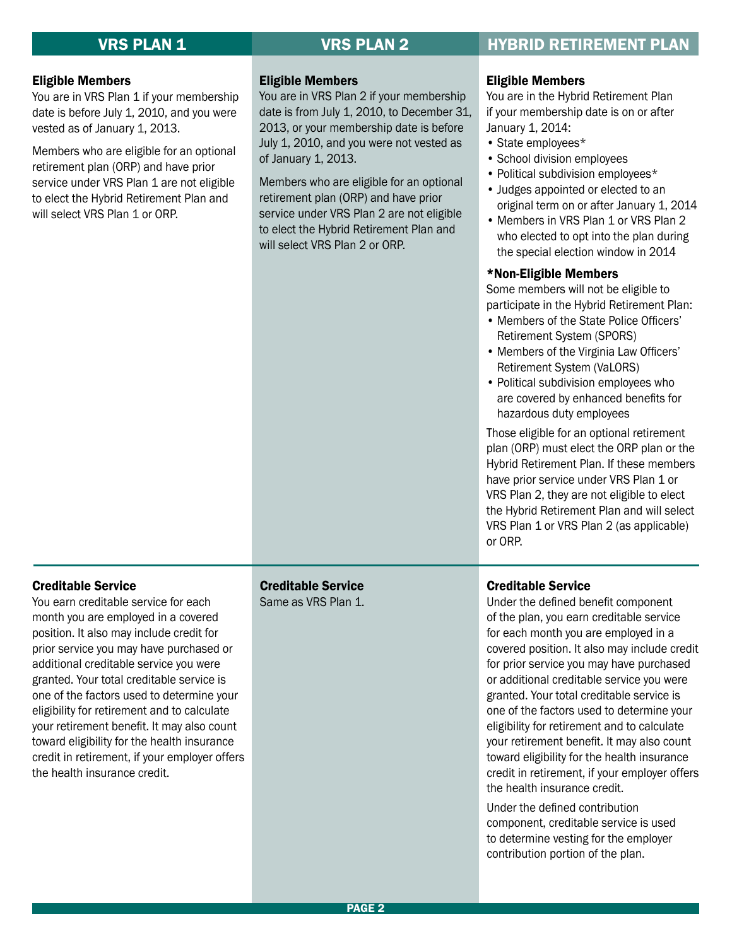### **VRS PLAN 1 STATE RETIREMENT PLAN VRS PLAN 2 STATE HYBRID RETIREMENT PLAN**

#### Eligible Members

You are in VRS Plan 1 if your membership date is before July 1, 2010, and you were vested as of January 1, 2013.

Members who are eligible for an optional retirement plan (ORP) and have prior service under VRS Plan 1 are not eligible to elect the Hybrid Retirement Plan and will select VRS Plan 1 or ORP.

#### Eligible Members

You are in VRS Plan 2 if your membership date is from July 1, 2010, to December 31, 2013, or your membership date is before July 1, 2010, and you were not vested as of January 1, 2013.

Members who are eligible for an optional retirement plan (ORP) and have prior service under VRS Plan 2 are not eligible to elect the Hybrid Retirement Plan and will select VRS Plan 2 or ORP.

#### Eligible Members

You are in the Hybrid Retirement Plan if your membership date is on or after January 1, 2014:

- State employees\*
- School division employees
- Political subdivision employees\*
- Judges appointed or elected to an original term on or after January 1, 2014
- Members in VRS Plan 1 or VRS Plan 2 who elected to opt into the plan during the special election window in 2014

#### \*Non-Eligible Members

Some members will not be eligible to participate in the Hybrid Retirement Plan:

- Members of the State Police Officers' Retirement System (SPORS)
- Members of the Virginia Law Officers' Retirement System (VaLORS)
- Political subdivision employees who are covered by enhanced benefits for hazardous duty employees

Those eligible for an optional retirement plan (ORP) must elect the ORP plan or the Hybrid Retirement Plan. If these members have prior service under VRS Plan 1 or VRS Plan 2, they are not eligible to elect the Hybrid Retirement Plan and will select VRS Plan 1 or VRS Plan 2 (as applicable) or ORP.

#### Creditable Service

You earn creditable service for each month you are employed in a covered position. It also may include credit for prior service you may have purchased or additional creditable service you were granted. Your total creditable service is one of the factors used to determine your eligibility for retirement and to calculate your retirement benefit. It may also count toward eligibility for the health insurance credit in retirement, if your employer offers the health insurance credit.

### Creditable Service

Same as VRS Plan 1.

### Creditable Service

Under the defined benefit component of the plan, you earn creditable service for each month you are employed in a covered position. It also may include credit for prior service you may have purchased or additional creditable service you were granted. Your total creditable service is one of the factors used to determine your eligibility for retirement and to calculate your retirement benefit. It may also count toward eligibility for the health insurance credit in retirement, if your employer offers the health insurance credit.

Under the defined contribution component, creditable service is used to determine vesting for the employer contribution portion of the plan.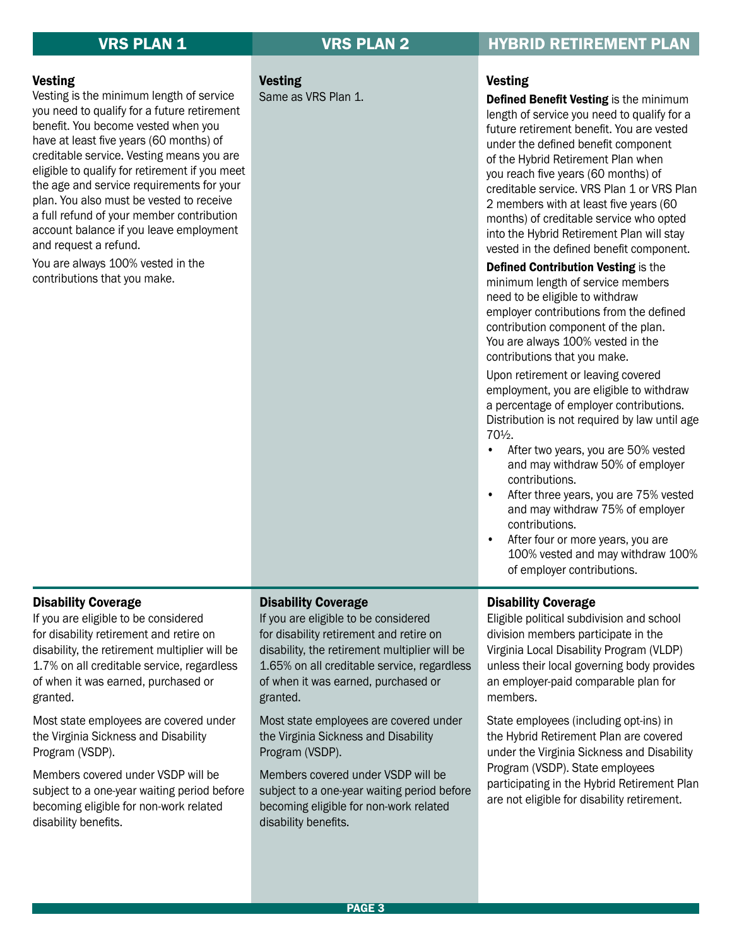### Vesting

Vesting is the minimum length of service you need to qualify for a future retirement benefit. You become vested when you have at least five years (60 months) of creditable service. Vesting means you are eligible to qualify for retirement if you meet the age and service requirements for your plan. You also must be vested to receive a full refund of your member contribution account balance if you leave employment and request a refund.

You are always 100% vested in the contributions that you make.

Vesting Same as VRS Plan 1.

### **VRS PLAN 1 VRS PLAN 2 HYBRID RETIREMENT PLAN**

#### Vesting

Defined Benefit Vesting is the minimum length of service you need to qualify for a future retirement benefit. You are vested under the defined benefit component of the Hybrid Retirement Plan when you reach five years (60 months) of creditable service. VRS Plan 1 or VRS Plan 2 members with at least five years (60 months) of creditable service who opted into the Hybrid Retirement Plan will stay vested in the defined benefit component.

Defined Contribution Vesting is the minimum length of service members need to be eligible to withdraw employer contributions from the defined contribution component of the plan. You are always 100% vested in the contributions that you make.

Upon retirement or leaving covered employment, you are eligible to withdraw a percentage of employer contributions. Distribution is not required by law until age 70½.

- After two years, you are 50% vested and may withdraw 50% of employer contributions.
- After three years, you are 75% vested and may withdraw 75% of employer contributions.
- After four or more years, you are 100% vested and may withdraw 100% of employer contributions.

#### Disability Coverage

If you are eligible to be considered for disability retirement and retire on disability, the retirement multiplier will be 1.7% on all creditable service, regardless of when it was earned, purchased or granted.

Most state employees are covered under the Virginia Sickness and Disability Program (VSDP).

Members covered under VSDP will be subject to a one-year waiting period before becoming eligible for non-work related disability benefits.

#### Disability Coverage

If you are eligible to be considered for disability retirement and retire on disability, the retirement multiplier will be 1.65% on all creditable service, regardless of when it was earned, purchased or granted.

Most state employees are covered under the Virginia Sickness and Disability Program (VSDP).

Members covered under VSDP will be subject to a one-year waiting period before becoming eligible for non-work related disability benefits.

#### Disability Coverage

Eligible political subdivision and school division members participate in the Virginia Local Disability Program (VLDP) unless their local governing body provides an employer-paid comparable plan for members.

State employees (including opt-ins) in the Hybrid Retirement Plan are covered under the Virginia Sickness and Disability Program (VSDP). State employees participating in the Hybrid Retirement Plan are not eligible for disability retirement.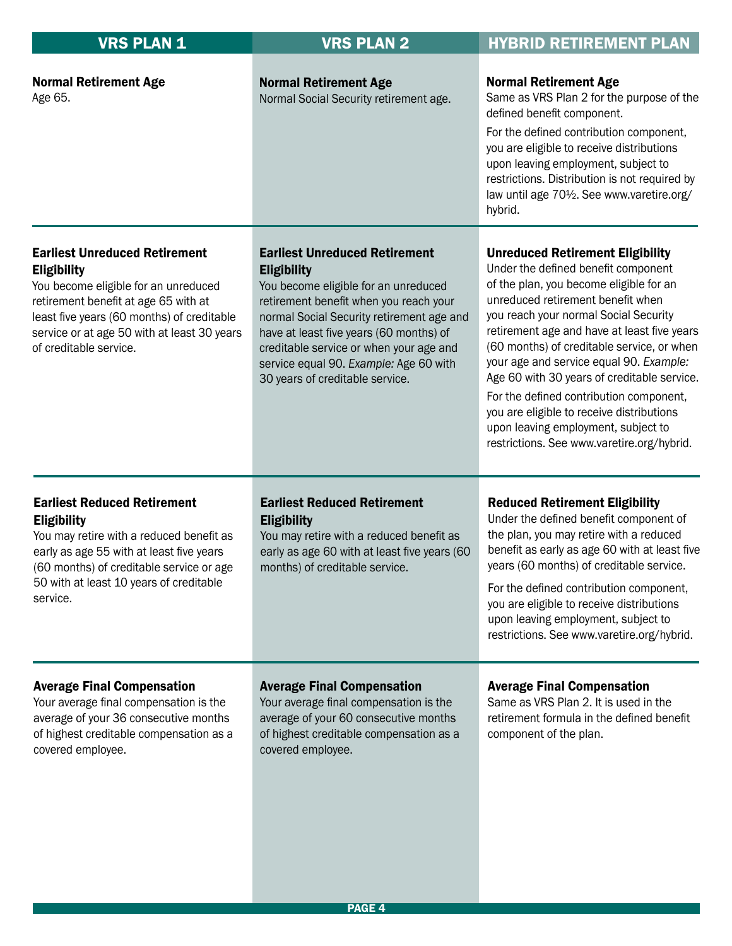| <b>VRS PLAN 1</b>                                                                                                                                                                                                                                                 | <b>VRS PLAN 2</b>                                                                                                                                                                                                                                                                                                                                            | <b>HYBRID RETIREMENT PLAN</b>                                                                                                                                                                                                                                                                                                                                                                                                                                                                                                                                               |  |  |
|-------------------------------------------------------------------------------------------------------------------------------------------------------------------------------------------------------------------------------------------------------------------|--------------------------------------------------------------------------------------------------------------------------------------------------------------------------------------------------------------------------------------------------------------------------------------------------------------------------------------------------------------|-----------------------------------------------------------------------------------------------------------------------------------------------------------------------------------------------------------------------------------------------------------------------------------------------------------------------------------------------------------------------------------------------------------------------------------------------------------------------------------------------------------------------------------------------------------------------------|--|--|
| <b>Normal Retirement Age</b><br>Age 65.                                                                                                                                                                                                                           | <b>Normal Retirement Age</b><br>Normal Social Security retirement age.                                                                                                                                                                                                                                                                                       | <b>Normal Retirement Age</b><br>Same as VRS Plan 2 for the purpose of the<br>defined benefit component.<br>For the defined contribution component,<br>you are eligible to receive distributions<br>upon leaving employment, subject to<br>restrictions. Distribution is not required by<br>law until age 70 <sup>1</sup> / <sub>2</sub> . See www.varetire.org/<br>hybrid.                                                                                                                                                                                                  |  |  |
| <b>Earliest Unreduced Retirement</b><br><b>Eligibility</b><br>You become eligible for an unreduced<br>retirement benefit at age 65 with at<br>least five years (60 months) of creditable<br>service or at age 50 with at least 30 years<br>of creditable service. | <b>Earliest Unreduced Retirement</b><br><b>Eligibility</b><br>You become eligible for an unreduced<br>retirement benefit when you reach your<br>normal Social Security retirement age and<br>have at least five years (60 months) of<br>creditable service or when your age and<br>service equal 90. Example: Age 60 with<br>30 years of creditable service. | <b>Unreduced Retirement Eligibility</b><br>Under the defined benefit component<br>of the plan, you become eligible for an<br>unreduced retirement benefit when<br>you reach your normal Social Security<br>retirement age and have at least five years<br>(60 months) of creditable service, or when<br>your age and service equal 90. Example:<br>Age 60 with 30 years of creditable service.<br>For the defined contribution component,<br>you are eligible to receive distributions<br>upon leaving employment, subject to<br>restrictions. See www.varetire.org/hybrid. |  |  |
| <b>Earliest Reduced Retirement</b><br><b>Eligibility</b><br>You may retire with a reduced benefit as<br>early as age 55 with at least five years<br>(60 months) of creditable service or age<br>50 with at least 10 years of creditable<br>service.               | <b>Earliest Reduced Retirement</b><br><b>Eligibility</b><br>You may retire with a reduced benefit as<br>early as age 60 with at least five years (60<br>months) of creditable service.                                                                                                                                                                       | <b>Reduced Retirement Eligibility</b><br>Under the defined benefit component of<br>the plan, you may retire with a reduced<br>benefit as early as age 60 with at least five<br>years (60 months) of creditable service.<br>For the defined contribution component,<br>you are eligible to receive distributions<br>upon leaving employment, subject to<br>restrictions. See www.varetire.org/hybrid.                                                                                                                                                                        |  |  |
| <b>Average Final Compensation</b><br>Your average final compensation is the<br>average of your 36 consecutive months<br>of highest creditable compensation as a<br>covered employee.                                                                              | <b>Average Final Compensation</b><br>Your average final compensation is the<br>average of your 60 consecutive months<br>of highest creditable compensation as a<br>covered employee.                                                                                                                                                                         | <b>Average Final Compensation</b><br>Same as VRS Plan 2. It is used in the<br>retirement formula in the defined benefit<br>component of the plan.                                                                                                                                                                                                                                                                                                                                                                                                                           |  |  |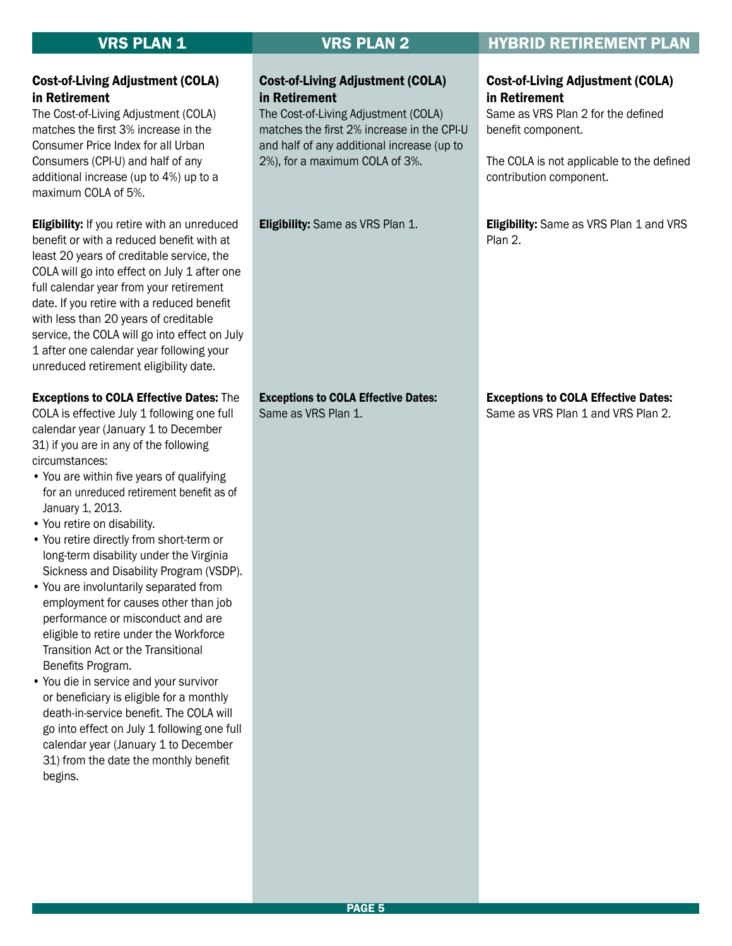### Cost-of-Living Adjustment (COLA) in Retirement

The Cost-of-Living Adjustment (COLA) matches the first 2% increase in the CPI-U and half of any additional increase (up to 2%), for a maximum COLA of 3%.

**Eligibility:** Same as VRS Plan 1.

### VRS PLAN 1 VRS PLAN 2 HYBRID RETIREMENT PLAN

#### Cost-of-Living Adjustment (COLA) in Retirement

Same as VRS Plan 2 for the defined benefit component.

The COLA is not applicable to the defined contribution component.

**Eligibility:** Same as VRS Plan 1 and VRS Plan 2.

#### Exceptions to COLA Effective Dates:

Same as VRS Plan 1 and VRS Plan 2.

#### Cost-of-Living Adjustment (COLA) in Retirement

The Cost-of-Living Adjustment (COLA) matches the first 3% increase in the Consumer Price Index for all Urban Consumers (CPI-U) and half of any additional increase (up to 4%) up to a maximum COLA of 5%.

**Eligibility:** If you retire with an unreduced benefit or with a reduced benefit with at least 20 years of creditable service, the COLA will go into effect on July 1 after one full calendar year from your retirement date. If you retire with a reduced benefit with less than 20 years of creditable service, the COLA will go into effect on July 1 after one calendar year following your unreduced retirement eligibility date.

#### Exceptions to COLA Effective Dates: The

COLA is effective July 1 following one full calendar year (January 1 to December 31) if you are in any of the following circumstances:

- You are within five years of qualifying for an unreduced retirement benefit as of January 1, 2013.
- You retire on disability.
- You retire directly from short-term or long-term disability under the Virginia Sickness and Disability Program (VSDP).
- You are involuntarily separated from employment for causes other than job performance or misconduct and are eligible to retire under the Workforce Transition Act or the Transitional Benefits Program.
- You die in service and your survivor or beneficiary is eligible for a monthly death-in-service benefit. The COLA will go into effect on July 1 following one full calendar year (January 1 to December 31) from the date the monthly benefit begins.

## Exceptions to COLA Effective Dates:

Same as VRS Plan 1.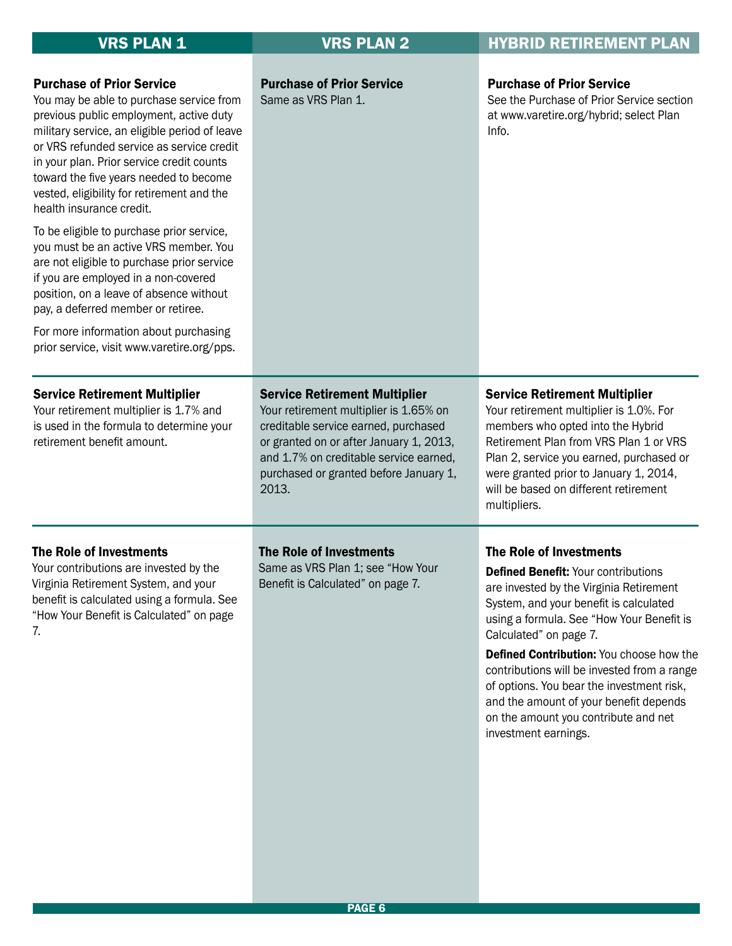| <b>VRS PLAN 1</b>                                                                                                                                                                                                                                                                                                                                                                                                                                                                                                                                                                                                                                                                                                                          | <b>VRS PLAN 2</b>                                                                                                                                                                                                                                              | <b>HYBRID RETIREMENT PLAN</b>                                                                                                                                                                                                                                                                                                                                                                                                                                                       |  |  |
|--------------------------------------------------------------------------------------------------------------------------------------------------------------------------------------------------------------------------------------------------------------------------------------------------------------------------------------------------------------------------------------------------------------------------------------------------------------------------------------------------------------------------------------------------------------------------------------------------------------------------------------------------------------------------------------------------------------------------------------------|----------------------------------------------------------------------------------------------------------------------------------------------------------------------------------------------------------------------------------------------------------------|-------------------------------------------------------------------------------------------------------------------------------------------------------------------------------------------------------------------------------------------------------------------------------------------------------------------------------------------------------------------------------------------------------------------------------------------------------------------------------------|--|--|
| <b>Purchase of Prior Service</b><br>You may be able to purchase service from<br>previous public employment, active duty<br>military service, an eligible period of leave<br>or VRS refunded service as service credit<br>in your plan. Prior service credit counts<br>toward the five years needed to become<br>vested, eligibility for retirement and the<br>health insurance credit.<br>To be eligible to purchase prior service,<br>you must be an active VRS member. You<br>are not eligible to purchase prior service<br>if you are employed in a non-covered<br>position, on a leave of absence without<br>pay, a deferred member or retiree.<br>For more information about purchasing<br>prior service, visit www.varetire.org/pps. | <b>Purchase of Prior Service</b><br>Same as VRS Plan 1.                                                                                                                                                                                                        | <b>Purchase of Prior Service</b><br>See the Purchase of Prior Service section<br>at www.varetire.org/hybrid; select Plan<br>Info.                                                                                                                                                                                                                                                                                                                                                   |  |  |
| <b>Service Retirement Multiplier</b><br>Your retirement multiplier is 1.7% and<br>is used in the formula to determine your<br>retirement benefit amount.                                                                                                                                                                                                                                                                                                                                                                                                                                                                                                                                                                                   | <b>Service Retirement Multiplier</b><br>Your retirement multiplier is 1.65% on<br>creditable service earned, purchased<br>or granted on or after January 1, 2013,<br>and 1.7% on creditable service earned,<br>purchased or granted before January 1,<br>2013. | <b>Service Retirement Multiplier</b><br>Your retirement multiplier is 1.0%. For<br>members who opted into the Hybrid<br>Retirement Plan from VRS Plan 1 or VRS<br>Plan 2, service you earned, purchased or<br>were granted prior to January 1, 2014,<br>will be based on different retirement<br>multipliers.                                                                                                                                                                       |  |  |
| The Role of Investments<br>Your contributions are invested by the<br>Virginia Retirement System, and your<br>benefit is calculated using a formula. See<br>"How Your Benefit is Calculated" on page<br>7.                                                                                                                                                                                                                                                                                                                                                                                                                                                                                                                                  | The Role of Investments<br>Same as VRS Plan 1; see "How Your<br>Benefit is Calculated" on page 7.                                                                                                                                                              | The Role of Investments<br><b>Defined Benefit: Your contributions</b><br>are invested by the Virginia Retirement<br>System, and your benefit is calculated<br>using a formula. See "How Your Benefit is<br>Calculated" on page 7.<br>Defined Contribution: You choose how the<br>contributions will be invested from a range<br>of options. You bear the investment risk,<br>and the amount of your benefit depends<br>on the amount you contribute and net<br>investment earnings. |  |  |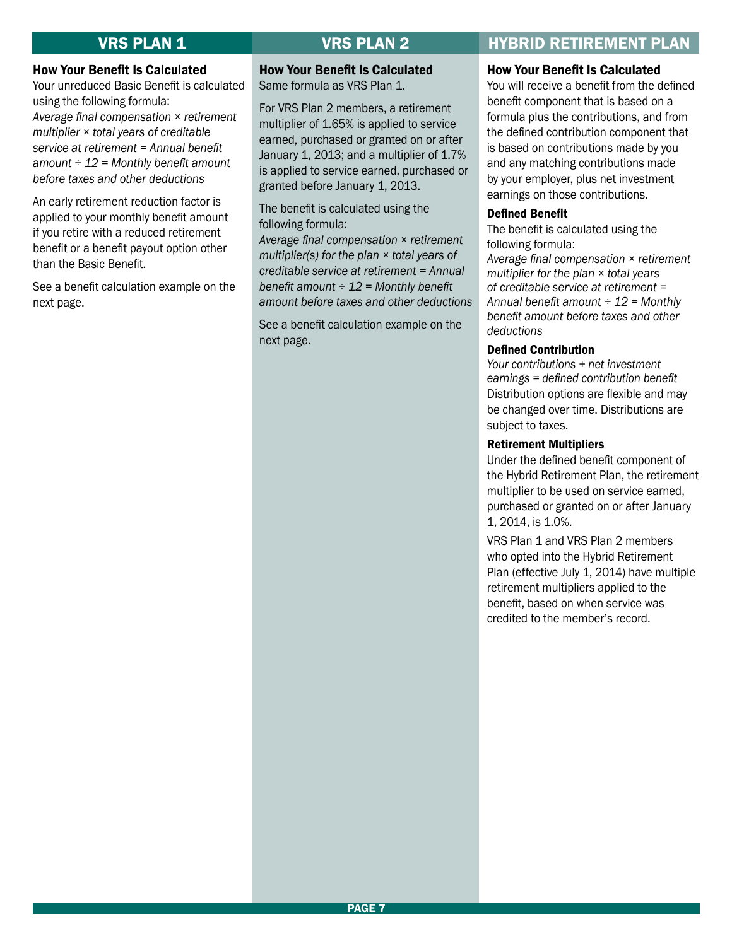#### How Your Benefit Is Calculated

Your unreduced Basic Benefit is calculated using the following formula: *Average final compensation × retirement multiplier × total years of creditable service at retirement = Annual benefit amount ÷ 12 = Monthly benefit amount before taxes and other deductions*

An early retirement reduction factor is applied to your monthly benefit amount if you retire with a reduced retirement benefit or a benefit payout option other than the Basic Benefit.

See a benefit calculation example on the next page.

### How Your Benefit Is Calculated

Same formula as VRS Plan 1.

For VRS Plan 2 members, a retirement multiplier of 1.65% is applied to service earned, purchased or granted on or after January 1, 2013; and a multiplier of 1.7% is applied to service earned, purchased or granted before January 1, 2013.

The benefit is calculated using the following formula:

*Average final compensation × retirement multiplier(s) for the plan × total years of creditable service at retirement = Annual benefit amount ÷ 12 = Monthly benefit amount before taxes and other deductions* 

See a benefit calculation example on the next page.

### VRS PLAN 1 VRS PLAN 2 HYBRID RETIREMENT PLAN

#### How Your Benefit Is Calculated

You will receive a benefit from the defined benefit component that is based on a formula plus the contributions, and from the defined contribution component that is based on contributions made by you and any matching contributions made by your employer, plus net investment earnings on those contributions.

#### Defined Benefit

The benefit is calculated using the following formula:

*Average final compensation × retirement multiplier for the plan × total years of creditable service at retirement = Annual benefit amount ÷ 12 = Monthly benefit amount before taxes and other deductions*

#### Defined Contribution

*Your contributions + net investment earnings = defined contribution benefit* Distribution options are flexible and may be changed over time. Distributions are subject to taxes.

#### Retirement Multipliers

Under the defined benefit component of the Hybrid Retirement Plan, the retirement multiplier to be used on service earned, purchased or granted on or after January 1, 2014, is 1.0%.

VRS Plan 1 and VRS Plan 2 members who opted into the Hybrid Retirement Plan (effective July 1, 2014) have multiple retirement multipliers applied to the benefit, based on when service was credited to the member's record.